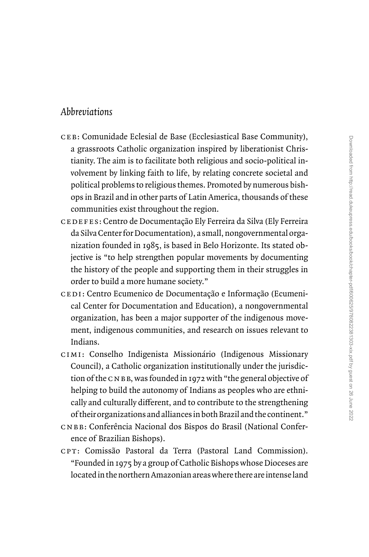## Abbreviations

- ceb: Comunidade Eclesial de Base (Ecclesiastical Base Community), a grassroots Catholic organization inspired by liberationist Christianity. The aim is to facilitate both religious and socio-political involvement by linking faith to life, by relating concrete societal and political problems to religious themes. Promoted by numerous bishops in Brazil and in other parts of Latin America, thousands of these communities exist throughout the region.
- cedefes: Centro de Documentação Ely Ferreira da Silva (Ely Ferreira da Silva Center for Documentation), a small, nongovernmental organization founded in 1985, is based in Belo Horizonte. Its stated objective is ''to help strengthen popular movements by documenting the history of the people and supporting them in their struggles in order to build a more humane society.''
- cedi: Centro Ecumenico de Documentação e Informação (Ecumenical Center for Documentation and Education), a nongovernmental organization, has been a major supporter of the indigenous movement, indigenous communities, and research on issues relevant to Indians.
- cimi: Conselho Indigenista Missionário (Indigenous Missionary Council), a Catholic organization institutionally under the jurisdiction of the  $C$  N B B, was founded in 1972 with "the general objective of helping to build the autonomy of Indians as peoples who are ethnically and culturally different, and to contribute to the strengthening of theirorganizations and alliancesin both Brazil and the continent.''
- cnbb: Conferência Nacional dos Bispos do Brasil (National Conference of Brazilian Bishops).
- cpt: Comissão Pastoral da Terra (Pastoral Land Commission). ''Founded in 1975 by a group of Catholic Bishops whose Dioceses are locatedin the northernAmazonian areaswhere there areintenseland